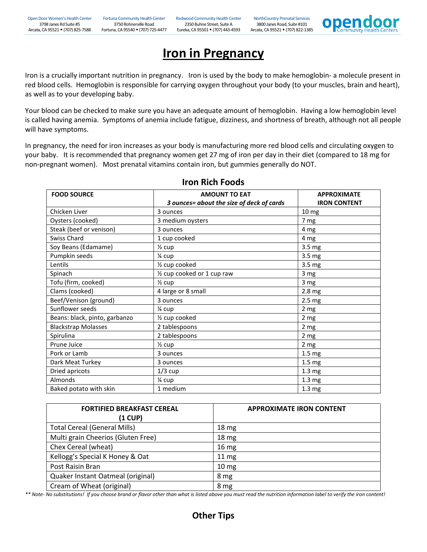

## **Iron in Pregnancy**

Iron is a crucially important nutrition in pregnancy. Iron is used by the body to make hemoglobin- a molecule present in red blood cells. Hemoglobin is responsible for carrying oxygen throughout your body (to your muscles, brain and heart), as well as to your developing baby.

Your blood can be checked to make sure you have an adequate amount of hemoglobin. Having a low hemoglobin level is called having anemia. Symptoms of anemia include fatigue, dizziness, and shortness of breath, although not all people will have symptoms.

In pregnancy, the need for iron increases as your body is manufacturing more red blood cells and circulating oxygen to your baby. It is recommended that pregnancy women get 27 mg of iron per day in their diet (compared to 18 mg for non-pregnant women). Most prenatal vitamins contain iron, but gummies generally do NOT.

| <b>FOOD SOURCE</b>            | <b>AMOUNT TO EAT</b>                      | <b>APPROXIMATE</b>  |
|-------------------------------|-------------------------------------------|---------------------|
|                               | 3 ounces= about the size of deck of cards | <b>IRON CONTENT</b> |
| Chicken Liver                 | 3 ounces                                  | 10 mg               |
| Oysters (cooked)              | 3 medium oysters                          | 7 mg                |
| Steak (beef or venison)       | 3 ounces                                  | 4 mg                |
| Swiss Chard                   | 1 cup cooked                              | 4 mg                |
| Soy Beans (Edamame)           | $\frac{1}{2}$ cup                         | 3.5 mg              |
| Pumpkin seeds                 | 1⁄4 cup                                   | 3.5 mg              |
| Lentils                       | 1/ <sub>2</sub> cup cooked                | 3.5 mg              |
| Spinach                       | 1/2 cup cooked or 1 cup raw               | 3 mg                |
| Tofu (firm, cooked)           | $\frac{1}{2}$ cup                         | 3 mg                |
| Clams (cooked)                | 4 large or 8 small                        | 2.8 mg              |
| Beef/Venison (ground)         | 3 ounces                                  | 2.5 <sub>mg</sub>   |
| Sunflower seeds               | 1⁄4 cup                                   | 2 <sub>mg</sub>     |
| Beans: black, pinto, garbanzo | 1/ <sub>2</sub> cup cooked                | 2 <sub>mg</sub>     |
| <b>Blackstrap Molasses</b>    | 2 tablespoons                             | 2 mg                |
| Spirulina                     | 2 tablespoons                             | 2 mg                |
| Prune Juice                   | $\frac{1}{2}$ cup                         | 2 mg                |
| Pork or Lamb                  | 3 ounces                                  | 1.5 <sub>mg</sub>   |
| Dark Meat Turkey              | 3 ounces                                  | 1.5 <sub>mg</sub>   |
| Dried apricots                | $1/3$ cup                                 | 1.3 <sub>mg</sub>   |
| Almonds                       | 1⁄4 cup                                   | 1.3 <sub>mg</sub>   |
| Baked potato with skin        | 1 medium                                  | 1.3 <sub>mg</sub>   |

## **Iron Rich Foods**

| <b>FORTIFIED BREAKFAST CEREAL</b><br>$(1$ CUP) | <b>APPROXIMATE IRON CONTENT</b> |
|------------------------------------------------|---------------------------------|
| <b>Total Cereal (General Mills)</b>            | 18 <sub>mg</sub>                |
| Multi grain Cheerios (Gluten Free)             | 18 <sub>mg</sub>                |
| Chex Cereal (wheat)                            | 16 <sub>mg</sub>                |
| Kellogg's Special K Honey & Oat                | 11 <sub>mg</sub>                |
| Post Raisin Bran                               | 10 <sub>mg</sub>                |
| Quaker Instant Oatmeal (original)              | 8 mg                            |
| Cream of Wheat (original)                      | 8 mg                            |

*\*\* Note- No substitutions! If you choose brand or flavor other than what is listed above you must read the nutrition information label to verify the iron content!*